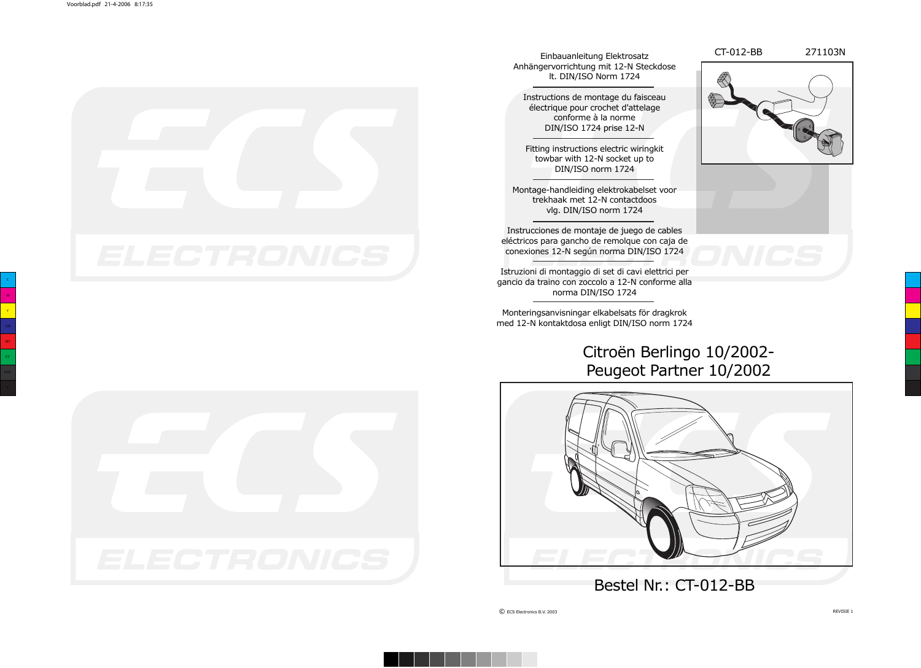CT-012-BB 271103N





Einbauanleitung Elektrosatz Anhängervorrichtung mit 12-N Steckdose lt. DIN/ISO Norm 1724

Instructions de montage du faisceau électrique pour crochet d'attelage conforme à la norme DIN/ISO 1724 prise 12-N

Fitting instructions electric wiringkit towbar with 12-N socket up to DIN/ISO norm 1724

Montage-handleiding elektrokabelset voor trekhaak met 12-N contactdoos vlg. DIN/ISO norm 1724

Instrucciones de montaje de juego de cables eléctricos para gancho de remolque con caja de conexiones 12-N según norma DIN/ISO 1724

Istruzioni di montaggio di set di cavi elettrici per gancio da traino con zoccolo a 12-N conforme alla norma DIN/ISO 1724

Monteringsanvisningar elkabelsats för dragkrok med 12-N kontaktdosa enligt DIN/ISO norm 1724

## Citroën Berlingo 10/2002- Peugeot Partner 10/2002



Bestel Nr.: CT-012-BB

© ECS Electronics B.V. 2003 REVISIE 1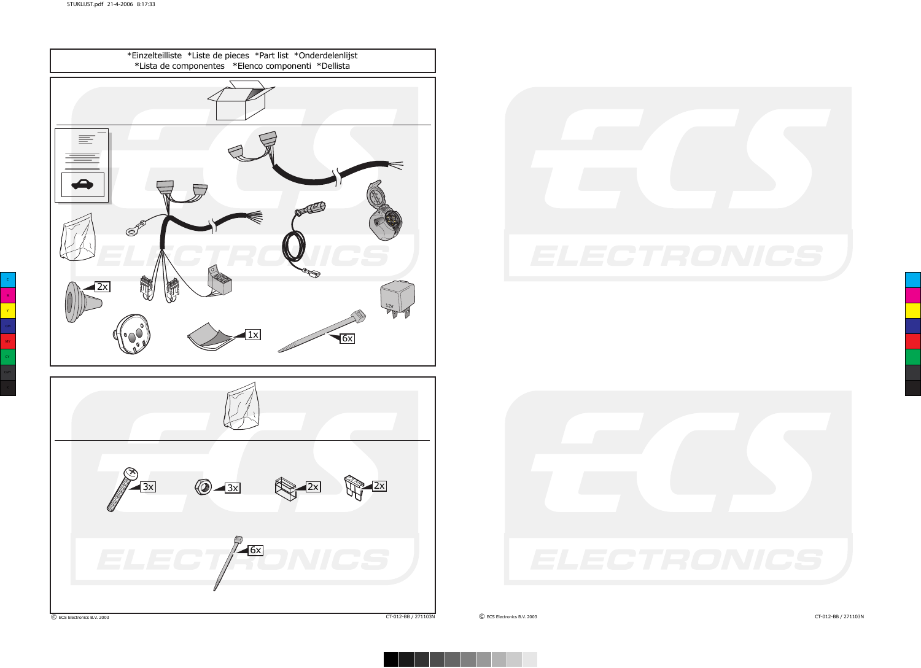





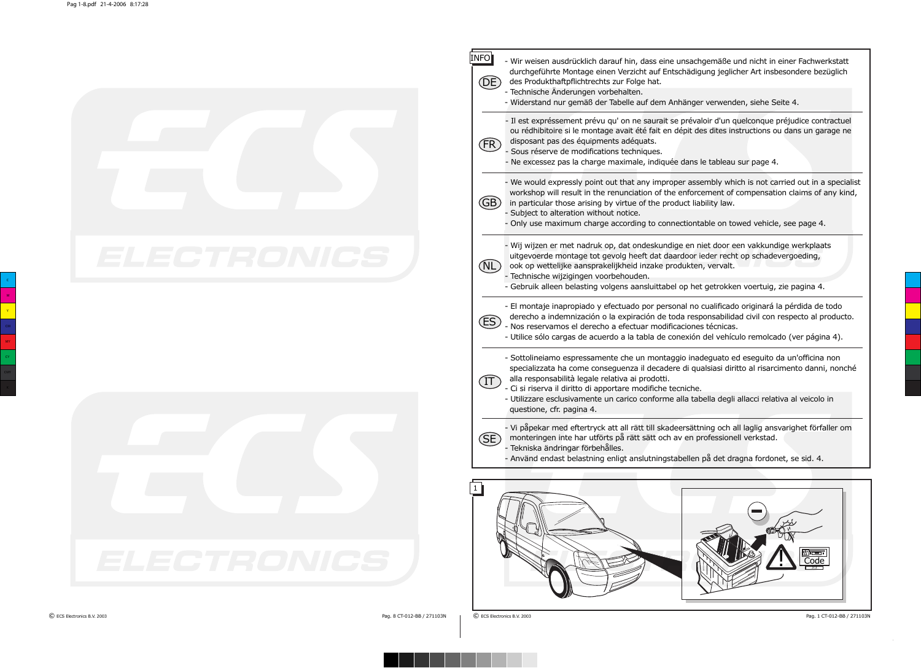|             | INFO <br>- Wir weisen ausdrücklich darauf hin, dass eine unsachgemäße und nicht in einer Fachwerkstatt<br>durchgeführte Montage einen Verzicht auf Entschädigung jeglicher Art insbesondere bezüglich<br>(DE)<br>des Produkthaftpflichtrechts zur Folge hat.<br>- Technische Änderungen vorbehalten.<br>- Widerstand nur gemäß der Tabelle auf dem Anhänger verwenden, siehe Seite 4.                                                                             |
|-------------|-------------------------------------------------------------------------------------------------------------------------------------------------------------------------------------------------------------------------------------------------------------------------------------------------------------------------------------------------------------------------------------------------------------------------------------------------------------------|
|             | - Il est expréssement prévu qu' on ne saurait se prévaloir d'un quelconque préjudice contractuel<br>ou rédhibitoire si le montage avait été fait en dépit des dites instructions ou dans un garage ne<br>disposant pas des équipments adéquats.<br>(FR)<br>- Sous réserve de modifications techniques.<br>- Ne excessez pas la charge maximale, indiquée dans le tableau sur page 4.                                                                              |
|             | - We would expressly point out that any improper assembly which is not carried out in a specialist<br>workshop will result in the renunciation of the enforcement of compensation claims of any kind,<br>(GB)<br>in particular those arising by virtue of the product liability law.<br>- Subject to alteration without notice.<br>- Only use maximum charge according to connectiontable on towed vehicle, see page 4.                                           |
| ELECTRONICS | - Wij wijzen er met nadruk op, dat ondeskundige en niet door een vakkundige werkplaats<br>uitgevoerde montage tot gevolg heeft dat daardoor ieder recht op schadevergoeding,<br>(NL)<br>ook op wettelijke aansprakelijkheid inzake produkten, vervalt.<br>- Technische wijzigingen voorbehouden.<br>- Gebruik alleen belasting volgens aansluittabel op het getrokken voertuig, zie pagina 4.                                                                     |
|             | - El montaje inapropiado y efectuado por personal no cualificado originará la pérdida de todo<br>derecho a indemnización o la expiración de toda responsabilidad civil con respecto al producto.<br>(ES)<br>- Nos reservamos el derecho a efectuar modificaciones técnicas.<br>- Utilice sólo cargas de acuerdo a la tabla de conexión del vehículo remolcado (ver página 4).                                                                                     |
|             | - Sottolineiamo espressamente che un montaggio inadeguato ed eseguito da un'officina non<br>specializzata ha come conseguenza il decadere di qualsiasi diritto al risarcimento danni, nonché<br>alla responsabilità legale relativa ai prodotti.<br>$(\text{II})$<br>- Ci si riserva il diritto di apportare modifiche tecniche.<br>- Utilizzare esclusivamente un carico conforme alla tabella degli allacci relativa al veicolo in<br>questione, cfr. pagina 4. |
|             | - Vi påpekar med eftertryck att all rätt till skadeersättning och all laglig ansvarighet förfaller om<br>monteringen inte har utförts på rätt sätt och av en professionell verkstad.<br>(SE)<br>- Tekniska ändringar förbehålles.<br>- Använd endast belastning enligt anslutningstabellen på det dragna fordonet, se sid. 4.                                                                                                                                     |
| ELECTRONICS | <u>शन्द्या</u><br>Code                                                                                                                                                                                                                                                                                                                                                                                                                                            |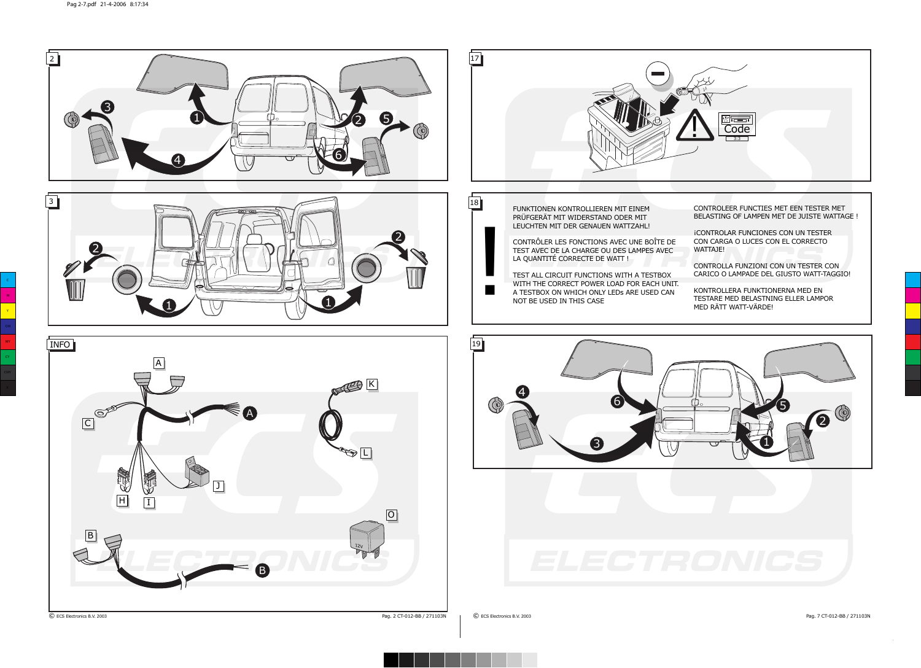

© ECS Electronics B.V. 2003 Pag. 2 CT-012-BB / 271103N © ECS Electronics B.V. 2003 Pag. 7 CT-012-BB / 271103N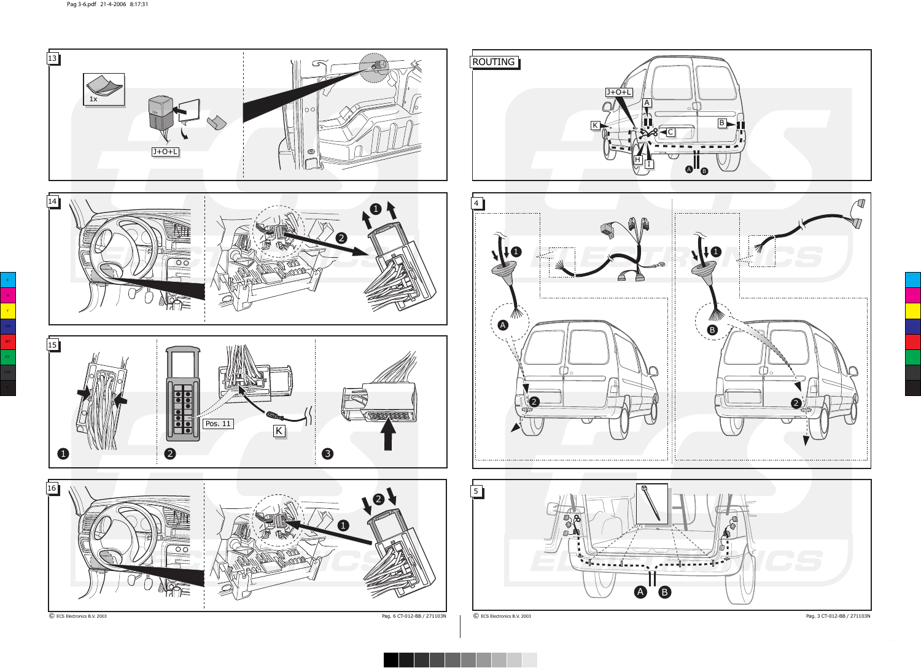